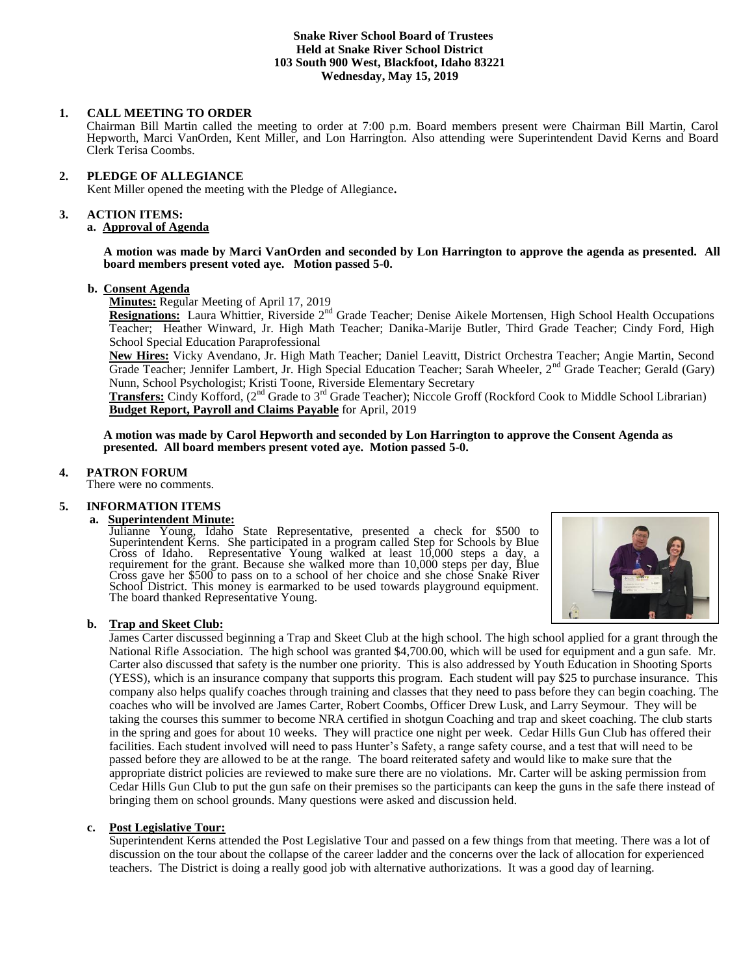## **Snake River School Board of Trustees Held at Snake River School District 103 South 900 West, Blackfoot, Idaho 83221 Wednesday, May 15, 2019**

## **1. CALL MEETING TO ORDER**

Chairman Bill Martin called the meeting to order at 7:00 p.m. Board members present were Chairman Bill Martin, Carol Hepworth, Marci VanOrden, Kent Miller, and Lon Harrington. Also attending were Superintendent David Kerns and Board Clerk Terisa Coombs.

# **2. PLEDGE OF ALLEGIANCE**

Kent Miller opened the meeting with the Pledge of Allegiance**.** 

## **3. ACTION ITEMS:**

## **a. Approval of Agenda**

**A motion was made by Marci VanOrden and seconded by Lon Harrington to approve the agenda as presented. All board members present voted aye. Motion passed 5-0.**

## **b. Consent Agenda**

**Minutes:** Regular Meeting of April 17, 2019

Resignations: Laura Whittier, Riverside 2<sup>nd</sup> Grade Teacher; Denise Aikele Mortensen, High School Health Occupations Teacher; Heather Winward, Jr. High Math Teacher; Danika-Marije Butler, Third Grade Teacher; Cindy Ford, High School Special Education Paraprofessional

**New Hires:** Vicky Avendano, Jr. High Math Teacher; Daniel Leavitt, District Orchestra Teacher; Angie Martin, Second Grade Teacher; Jennifer Lambert, Jr. High Special Education Teacher; Sarah Wheeler, 2<sup>nd</sup> Grade Teacher; Gerald (Gary) Nunn, School Psychologist; Kristi Toone, Riverside Elementary Secretary

**Transfers:** Cindy Kofford, (2<sup>nd</sup> Grade to 3<sup>rd</sup> Grade Teacher); Niccole Groff (Rockford Cook to Middle School Librarian) **Budget Report, Payroll and Claims Payable** for April, 2019

**A motion was made by Carol Hepworth and seconded by Lon Harrington to approve the Consent Agenda as presented. All board members present voted aye. Motion passed 5-0.**

# **4. PATRON FORUM**

There were no comments.

# **5. INFORMATION ITEMS**

# **a. Superintendent Minute:**

Julianne Young, Idaho State Representative, presented a check for \$500 to Superintendent Kerns. She participated in a program called Step for Schools by Blue Cross of Idaho. Representative Young walked at least 10,000 steps a day, a requirement for the grant. Because she walked more than 10,000 steps per day, Blue Cross gave her \$500 to pass on to a school of her choice and she chose Snake River School District. This money is earmarked to be used towards playground equipment. The board thanked Representative Young.



## **b. Trap and Skeet Club:**

James Carter discussed beginning a Trap and Skeet Club at the high school. The high school applied for a grant through the National Rifle Association. The high school was granted \$4,700.00, which will be used for equipment and a gun safe. Mr. Carter also discussed that safety is the number one priority. This is also addressed by Youth Education in Shooting Sports (YESS), which is an insurance company that supports this program. Each student will pay \$25 to purchase insurance. This company also helps qualify coaches through training and classes that they need to pass before they can begin coaching. The coaches who will be involved are James Carter, Robert Coombs, Officer Drew Lusk, and Larry Seymour. They will be taking the courses this summer to become NRA certified in shotgun Coaching and trap and skeet coaching. The club starts in the spring and goes for about 10 weeks. They will practice one night per week. Cedar Hills Gun Club has offered their facilities. Each student involved will need to pass Hunter's Safety, a range safety course, and a test that will need to be passed before they are allowed to be at the range. The board reiterated safety and would like to make sure that the appropriate district policies are reviewed to make sure there are no violations. Mr. Carter will be asking permission from Cedar Hills Gun Club to put the gun safe on their premises so the participants can keep the guns in the safe there instead of bringing them on school grounds. Many questions were asked and discussion held.

## **c. Post Legislative Tour:**

Superintendent Kerns attended the Post Legislative Tour and passed on a few things from that meeting. There was a lot of discussion on the tour about the collapse of the career ladder and the concerns over the lack of allocation for experienced teachers. The District is doing a really good job with alternative authorizations. It was a good day of learning.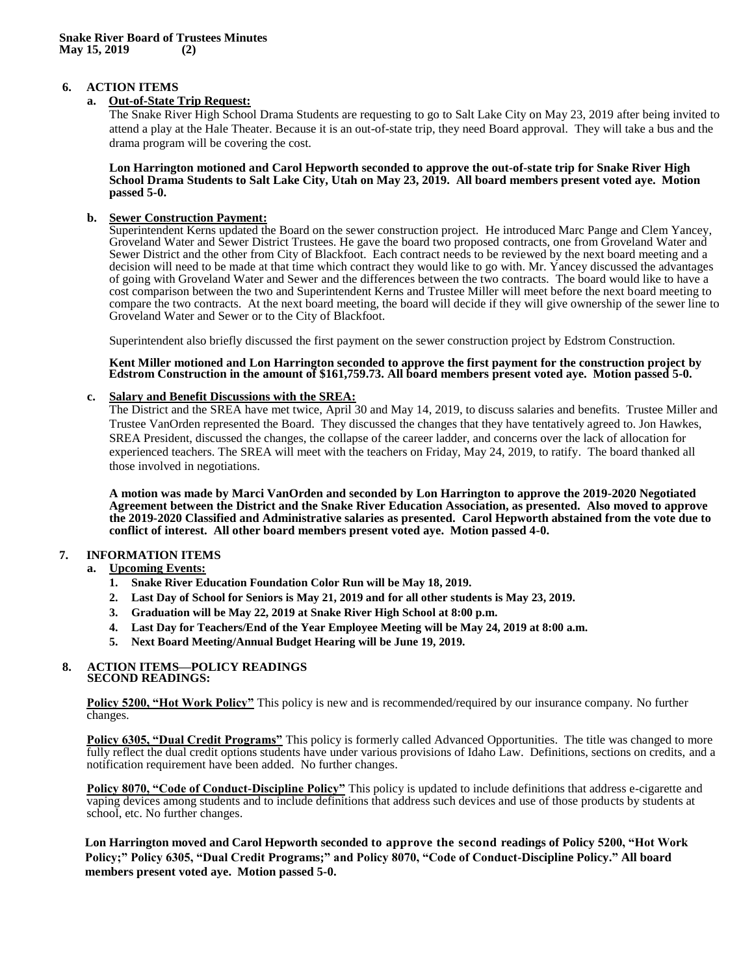# **6. ACTION ITEMS**

# **a. Out-of-State Trip Request:**

The Snake River High School Drama Students are requesting to go to Salt Lake City on May 23, 2019 after being invited to attend a play at the Hale Theater. Because it is an out-of-state trip, they need Board approval. They will take a bus and the drama program will be covering the cost.

**Lon Harrington motioned and Carol Hepworth seconded to approve the out-of-state trip for Snake River High School Drama Students to Salt Lake City, Utah on May 23, 2019. All board members present voted aye. Motion passed 5-0.** 

# **b. Sewer Construction Payment:**

Superintendent Kerns updated the Board on the sewer construction project. He introduced Marc Pange and Clem Yancey, Groveland Water and Sewer District Trustees. He gave the board two proposed contracts, one from Groveland Water and Sewer District and the other from City of Blackfoot. Each contract needs to be reviewed by the next board meeting and a decision will need to be made at that time which contract they would like to go with. Mr. Yancey discussed the advantages of going with Groveland Water and Sewer and the differences between the two contracts. The board would like to have a cost comparison between the two and Superintendent Kerns and Trustee Miller will meet before the next board meeting to compare the two contracts. At the next board meeting, the board will decide if they will give ownership of the sewer line to Groveland Water and Sewer or to the City of Blackfoot.

Superintendent also briefly discussed the first payment on the sewer construction project by Edstrom Construction.

#### **Kent Miller motioned and Lon Harrington seconded to approve the first payment for the construction project by**  Edstrom Construction in the amount of \$161,759.73. All board members present voted aye. Motion passed 5-0.

# **c. Salary and Benefit Discussions with the SREA:**

The District and the SREA have met twice, April 30 and May 14, 2019, to discuss salaries and benefits. Trustee Miller and Trustee VanOrden represented the Board. They discussed the changes that they have tentatively agreed to. Jon Hawkes, SREA President, discussed the changes, the collapse of the career ladder, and concerns over the lack of allocation for experienced teachers. The SREA will meet with the teachers on Friday, May 24, 2019, to ratify. The board thanked all those involved in negotiations.

**A motion was made by Marci VanOrden and seconded by Lon Harrington to approve the 2019-2020 Negotiated Agreement between the District and the Snake River Education Association, as presented. Also moved to approve the 2019-2020 Classified and Administrative salaries as presented. Carol Hepworth abstained from the vote due to conflict of interest. All other board members present voted aye. Motion passed 4-0.**

# **7. INFORMATION ITEMS**

# **a. Upcoming Events:**

- **1. Snake River Education Foundation Color Run will be May 18, 2019.**
- **2. Last Day of School for Seniors is May 21, 2019 and for all other students is May 23, 2019.**
- **3. Graduation will be May 22, 2019 at Snake River High School at 8:00 p.m.**
- **4. Last Day for Teachers/End of the Year Employee Meeting will be May 24, 2019 at 8:00 a.m.**
- **5. Next Board Meeting/Annual Budget Hearing will be June 19, 2019.**

#### **8. ACTION ITEMS—POLICY READINGS SECOND READINGS:**

**Policy 5200, "Hot Work Policy"** This policy is new and is recommended/required by our insurance company. No further changes.

**Policy 6305, "Dual Credit Programs"** This policy is formerly called Advanced Opportunities. The title was changed to more fully reflect the dual credit options students have under various provisions of Idaho Law. Definitions, sections on credits, and a notification requirement have been added. No further changes.

**Policy 8070, "Code of Conduct-Discipline Policy"** This policy is updated to include definitions that address e-cigarette and vaping devices among students and to include definitions that address such devices and use of those products by students at school, etc. No further changes.

**Lon Harrington moved and Carol Hepworth seconded to approve the second readings of Policy 5200, "Hot Work Policy;" Policy 6305, "Dual Credit Programs;" and Policy 8070, "Code of Conduct-Discipline Policy." All board members present voted aye. Motion passed 5-0.**